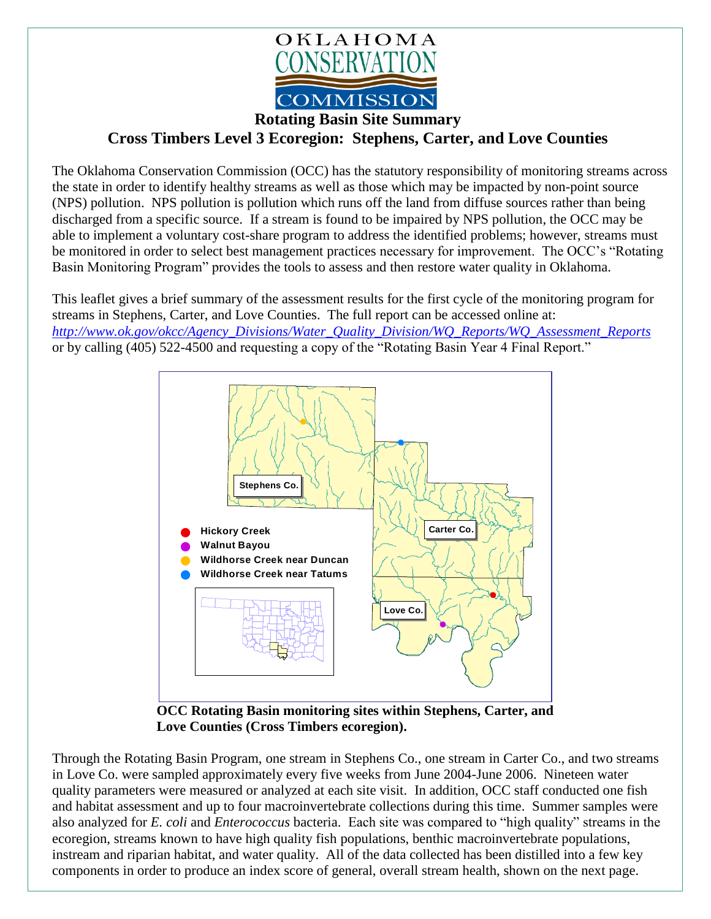

**Rotating Basin Site Summary**

**Cross Timbers Level 3 Ecoregion: Stephens, Carter, and Love Counties**

The Oklahoma Conservation Commission (OCC) has the statutory responsibility of monitoring streams across the state in order to identify healthy streams as well as those which may be impacted by non-point source (NPS) pollution. NPS pollution is pollution which runs off the land from diffuse sources rather than being discharged from a specific source. If a stream is found to be impaired by NPS pollution, the OCC may be able to implement a voluntary cost-share program to address the identified problems; however, streams must be monitored in order to select best management practices necessary for improvement. The OCC's "Rotating Basin Monitoring Program" provides the tools to assess and then restore water quality in Oklahoma.

This leaflet gives a brief summary of the assessment results for the first cycle of the monitoring program for streams in Stephens, Carter, and Love Counties. The full report can be accessed online at: *[http://www.ok.gov/okcc/Agency\\_Divisions/Water\\_Quality\\_Division/WQ\\_Reports/WQ\\_Assessment\\_Reports](http://www.ok.gov/okcc/Agency_Divisions/Water_Quality_Division/WQ_Reports/WQ_Assessment_Reports)* or by calling (405) 522-4500 and requesting a copy of the "Rotating Basin Year 4 Final Report."



**OCC Rotating Basin monitoring sites within Stephens, Carter, and Love Counties (Cross Timbers ecoregion).**

Through the Rotating Basin Program, one stream in Stephens Co., one stream in Carter Co., and two streams in Love Co. were sampled approximately every five weeks from June 2004-June 2006. Nineteen water quality parameters were measured or analyzed at each site visit. In addition, OCC staff conducted one fish and habitat assessment and up to four macroinvertebrate collections during this time. Summer samples were also analyzed for *E. coli* and *Enterococcus* bacteria. Each site was compared to "high quality" streams in the ecoregion, streams known to have high quality fish populations, benthic macroinvertebrate populations, instream and riparian habitat, and water quality. All of the data collected has been distilled into a few key components in order to produce an index score of general, overall stream health, shown on the next page.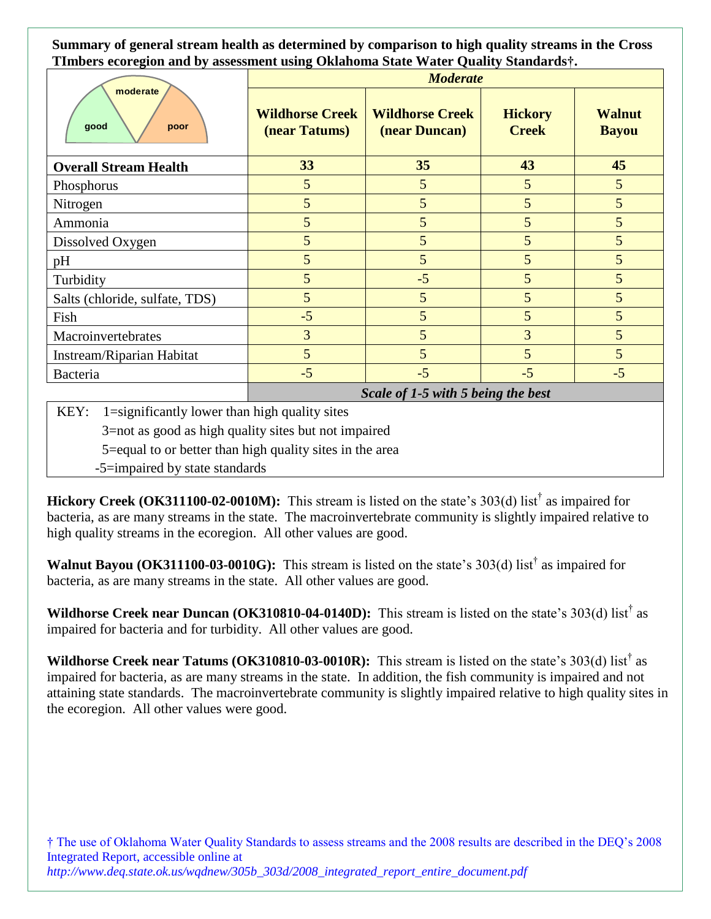**Summary of general stream health as determined by comparison to high quality streams in the Cross TImbers ecoregion and by assessment using Oklahoma State Water Quality Standards†.**

| moderate<br>good<br>poor       | <b>Moderate</b>                         |                                         |                                |                               |
|--------------------------------|-----------------------------------------|-----------------------------------------|--------------------------------|-------------------------------|
|                                | <b>Wildhorse Creek</b><br>(near Tatums) | <b>Wildhorse Creek</b><br>(near Duncan) | <b>Hickory</b><br><b>Creek</b> | <b>Walnut</b><br><b>Bayou</b> |
| <b>Overall Stream Health</b>   | 33                                      | 35                                      | 43                             | 45                            |
| Phosphorus                     | 5                                       | 5                                       | 5                              | 5                             |
| Nitrogen                       | 5                                       | 5                                       | 5                              | 5                             |
| Ammonia                        | 5                                       | 5                                       | 5                              | 5                             |
| Dissolved Oxygen               | 5                                       | 5                                       | 5                              | 5                             |
| pH                             | 5                                       | 5                                       | 5                              | 5                             |
| Turbidity                      | 5                                       | $-5$                                    | 5                              | 5                             |
| Salts (chloride, sulfate, TDS) | 5                                       | 5                                       | 5                              | 5                             |
| Fish                           | $-5$                                    | 5                                       | 5                              | 5                             |
| Macroinvertebrates             | 3                                       | 5                                       | 3                              | 5                             |
| Instream/Riparian Habitat      | 5                                       | 5                                       | 5                              | 5                             |
| Bacteria                       | $-5$                                    | $-5$                                    | $-5$                           | $-5$                          |
|                                | Scale of 1-5 with 5 being the best      |                                         |                                |                               |

KEY:  $1 =$ significantly lower than high quality sites

3=not as good as high quality sites but not impaired

5=equal to or better than high quality sites in the area

-5=impaired by state standards

**Hickory Creek (OK311100-02-0010M):** This stream is listed on the state's 303(d) list<sup>†</sup> as impaired for bacteria, as are many streams in the state. The macroinvertebrate community is slightly impaired relative to high quality streams in the ecoregion. All other values are good.

Walnut Bayou (OK311100-03-0010G): This stream is listed on the state's 303(d) list<sup>†</sup> as impaired for bacteria, as are many streams in the state. All other values are good.

**Wildhorse Creek near Duncan (OK310810-04-0140D):** This stream is listed on the state's 303(d) list† as impaired for bacteria and for turbidity. All other values are good.

**Wildhorse Creek near Tatums (OK310810-03-0010R):** This stream is listed on the state's 303(d) list† as impaired for bacteria, as are many streams in the state. In addition, the fish community is impaired and not attaining state standards. The macroinvertebrate community is slightly impaired relative to high quality sites in the ecoregion. All other values were good.

† The use of Oklahoma Water Quality Standards to assess streams and the 2008 results are described in the DEQ's 2008 Integrated Report, accessible online at *http://www.deq.state.ok.us/wqdnew/305b\_303d/2008\_integrated\_report\_entire\_document.pdf*